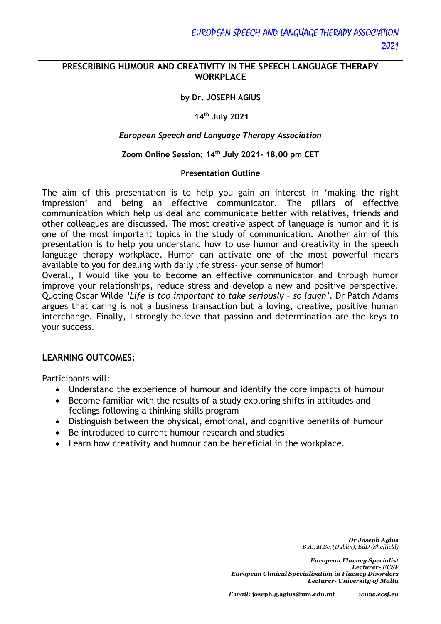# **PRESCRIBING HUMOUR AND CREATIVITY IN THE SPEECH LANGUAGE THERAPY WORKPLACE**

## **by Dr. JOSEPH AGIUS**

#### **14th July 2021**

#### *European Speech and Language Therapy Association*

### **Zoom Online Session: 14th July 2021- 18.00 pm CET**

#### **Presentation Outline**

The aim of this presentation is to help you gain an interest in 'making the right impression' and being an effective communicator. The pillars of effective communication which help us deal and communicate better with relatives, friends and other colleagues are discussed. The most creative aspect of language is humor and it is one of the most important topics in the study of communication. Another aim of this presentation is to help you understand how to use humor and creativity in the speech language therapy workplace. Humor can activate one of the most powerful means available to you for dealing with daily life stress- your sense of humor!

Overall, I would like you to become an effective communicator and through humor improve your relationships, reduce stress and develop a new and positive perspective. Quoting Oscar Wilde *'Life is too important to take seriously – so laugh'*. Dr Patch Adams argues that caring is not a business transaction but a loving, creative, positive human interchange. Finally, I strongly believe that passion and determination are the keys to your success.

#### **LEARNING OUTCOMES:**

Participants will:

- Understand the experience of humour and identify the core impacts of humour
- Become familiar with the results of a study exploring shifts in attitudes and feelings following a thinking skills program
- Distinguish between the physical, emotional, and cognitive benefits of humour
- Be introduced to current humour research and studies
- Learn how creativity and humour can be beneficial in the workplace.

*Dr Joseph Agius B.A., M.Sc. (Dublin), EdD (Sheffield)*

*European Fluency Specialist Lecturer- ECSF European Clinical Specialisation in Fluency Disorders Lecturer- University of Malta*